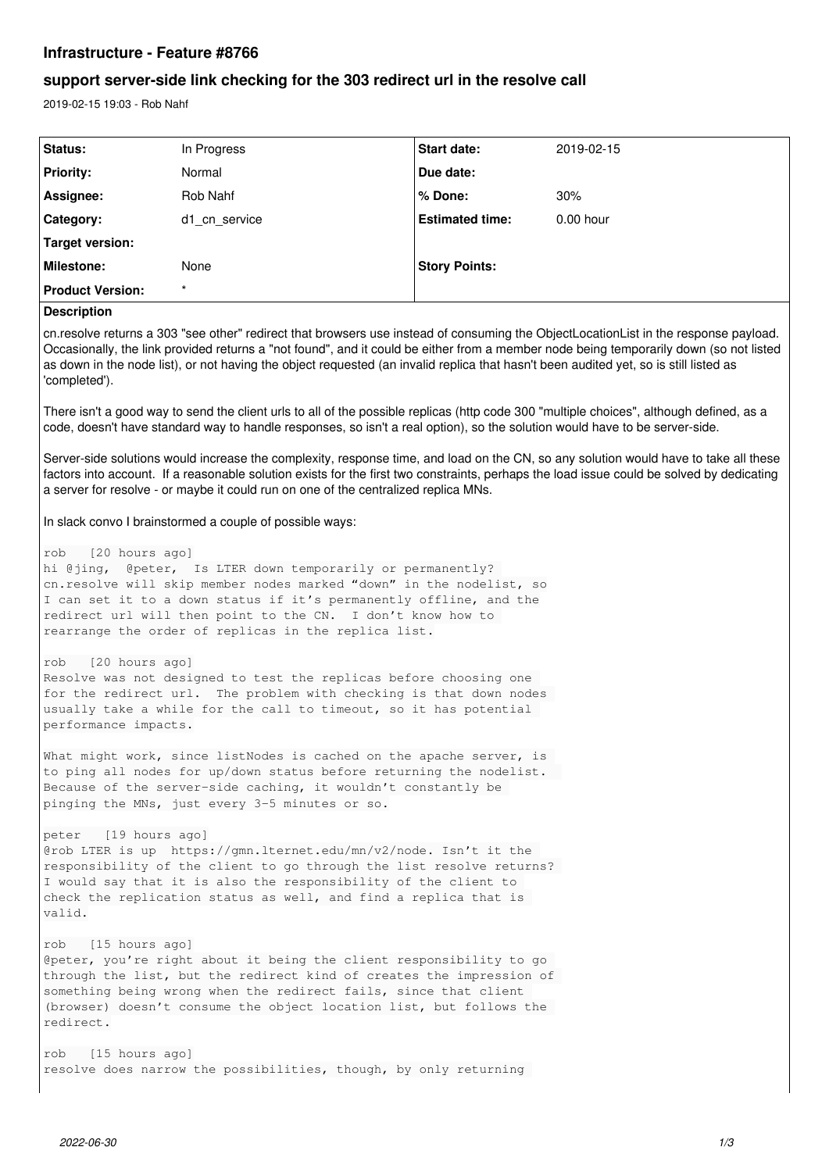## **Infrastructure - Feature #8766**

# **support server-side link checking for the 303 redirect url in the resolve call**

2019-02-15 19:03 - Rob Nahf

| Status:                 | In Progress   | <b>Start date:</b>     | 2019-02-15  |
|-------------------------|---------------|------------------------|-------------|
| <b>Priority:</b>        | Normal        | Due date:              |             |
| Assignee:               | Rob Nahf      | ∣% Done:               | 30%         |
| Category:               | d1 cn service | <b>Estimated time:</b> | $0.00$ hour |
| Target version:         |               |                        |             |
| Milestone:              | None          | <b>Story Points:</b>   |             |
| <b>Product Version:</b> | $\star$       |                        |             |
| _______                 |               |                        |             |

## **Description**

cn.resolve returns a 303 "see other" redirect that browsers use instead of consuming the ObjectLocationList in the response payload. Occasionally, the link provided returns a "not found", and it could be either from a member node being temporarily down (so not listed as down in the node list), or not having the object requested (an invalid replica that hasn't been audited yet, so is still listed as 'completed').

There isn't a good way to send the client urls to all of the possible replicas (http code 300 "multiple choices", although defined, as a code, doesn't have standard way to handle responses, so isn't a real option), so the solution would have to be server-side.

Server-side solutions would increase the complexity, response time, and load on the CN, so any solution would have to take all these factors into account. If a reasonable solution exists for the first two constraints, perhaps the load issue could be solved by dedicating a server for resolve - or maybe it could run on one of the centralized replica MNs.

In slack convo I brainstormed a couple of possible ways:

```
rob   [20 hours ago]
hi @jing, @peter, Is LTER down temporarily or permanently?
cn.resolve will skip member nodes marked "down" in the nodelist, so
I can set it to a down status if it's permanently offline, and the
redirect url will then point to the CN.  I don't know how to 
rearrange the order of replicas in the replica list.
rob   [20 hours ago]
Resolve was not designed to test the replicas before choosing one 
for the redirect url.  The problem with checking is that down nodes 
usually take a while for the call to timeout, so it has potential
performance impacts.
What might work, since listNodes is cached on the apache server, is
to ping all nodes for up/down status before returning the nodelist.  
Because of the server-side caching, it wouldn't constantly be 
pinging the MNs, just every 3-5 minutes or so.
peter   [19 hours ago]
@rob LTER is up  https://gmn.lternet.edu/mn/v2/node. Isn't it the 
responsibility of the client to go through the list resolve returns? 
I would say that it is also the responsibility of the client to 
check the replication status as well, and find a replica that is 
valid.
rob   [15 hours ago]
@peter, you're right about it being the client responsibility to go 
through the list, but the redirect kind of creates the impression of 
something being wrong when the redirect fails, since that client 
(browser) doesn't consume the object location list, but follows the 
redirect.
rob   [15 hours ago]
resolve does narrow the possibilities, though, by only returning
```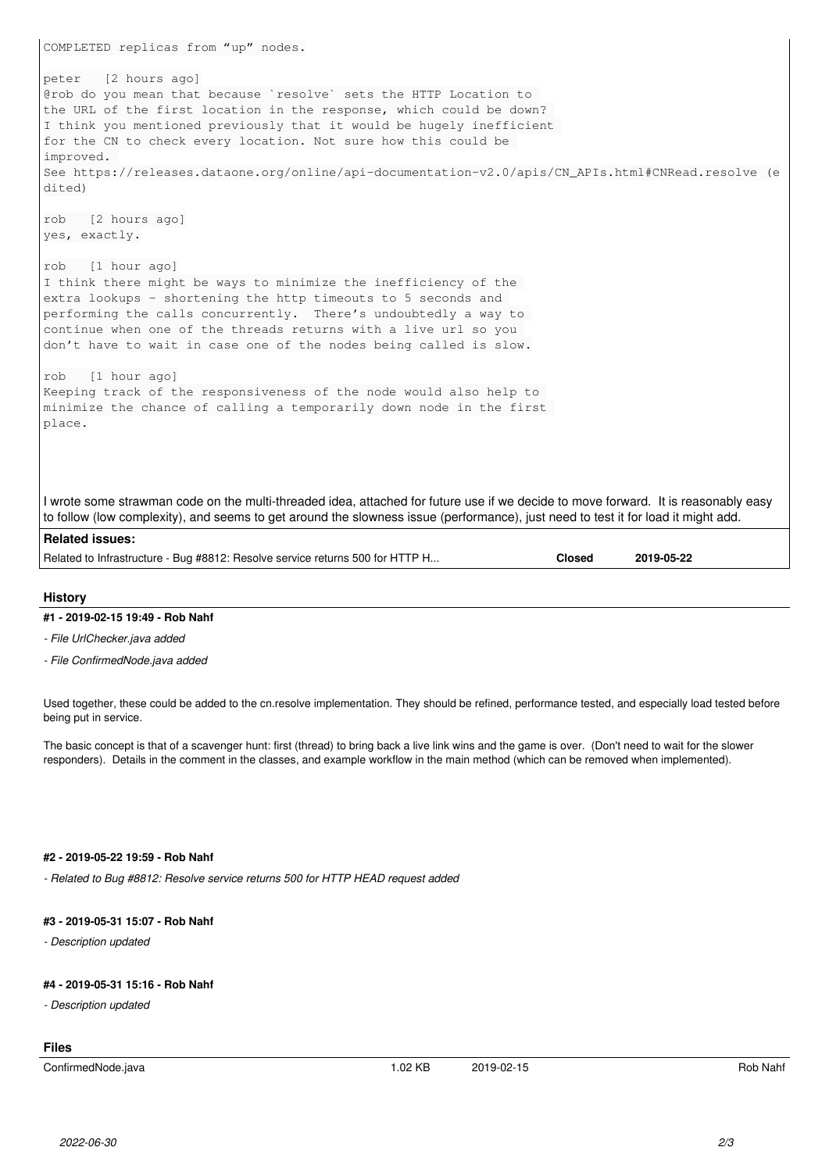| COMPLETED replicas from "up" nodes.                                                                                                                                                                                                                                                                                                                                                                             |  |  |  |
|-----------------------------------------------------------------------------------------------------------------------------------------------------------------------------------------------------------------------------------------------------------------------------------------------------------------------------------------------------------------------------------------------------------------|--|--|--|
| [2 hours ago]<br>peter                                                                                                                                                                                                                                                                                                                                                                                          |  |  |  |
| Grob do you mean that because `resolve` sets the HTTP Location to<br>the URL of the first location in the response, which could be down?<br>I think you mentioned previously that it would be hugely inefficient<br>for the CN to check every location. Not sure how this could be<br>improved.<br>See https://releases.dataone.org/online/api-documentation-v2.0/apis/CN_APIs.html#CNRead.resolve (e<br>dited) |  |  |  |
| [2 hours ago]<br>rob<br>yes, exactly.                                                                                                                                                                                                                                                                                                                                                                           |  |  |  |
| [1 hour ago]<br>rob<br>I think there might be ways to minimize the inefficiency of the<br>extra lookups - shortening the http timeouts to 5 seconds and<br>performing the calls concurrently. There's undoubtedly a way to<br>continue when one of the threads returns with a live url so you<br>don't have to wait in case one of the nodes being called is slow.                                              |  |  |  |
| [1 hour ago]<br>rob                                                                                                                                                                                                                                                                                                                                                                                             |  |  |  |
| Keeping track of the responsiveness of the node would also help to<br>minimize the chance of calling a temporarily down node in the first<br>place.                                                                                                                                                                                                                                                             |  |  |  |
| I wrote some strawman code on the multi-threaded idea, attached for future use if we decide to move forward. It is reasonably easy<br>to follow (low complexity), and seems to get around the slowness issue (performance), just need to test it for load it might add.                                                                                                                                         |  |  |  |
| <b>Related issues:</b>                                                                                                                                                                                                                                                                                                                                                                                          |  |  |  |
| Related to Infrastructure - Bug #8812: Resolve service returns 500 for HTTP H<br><b>Closed</b><br>2019-05-22                                                                                                                                                                                                                                                                                                    |  |  |  |

## **History**

#### **#1 - 2019-02-15 19:49 - Rob Nahf**

*- File UrlChecker.java added*

*- File ConfirmedNode.java added*

Used together, these could be added to the cn.resolve implementation. They should be refined, performance tested, and especially load tested before being put in service.

The basic concept is that of a scavenger hunt: first (thread) to bring back a live link wins and the game is over. (Don't need to wait for the slower responders). Details in the comment in the classes, and example workflow in the main method (which can be removed when implemented).

#### **#2 - 2019-05-22 19:59 - Rob Nahf**

*- Related to Bug #8812: Resolve service returns 500 for HTTP HEAD request added*

#### **#3 - 2019-05-31 15:07 - Rob Nahf**

*- Description updated*

## **#4 - 2019-05-31 15:16 - Rob Nahf**

*- Description updated*

## **Files**